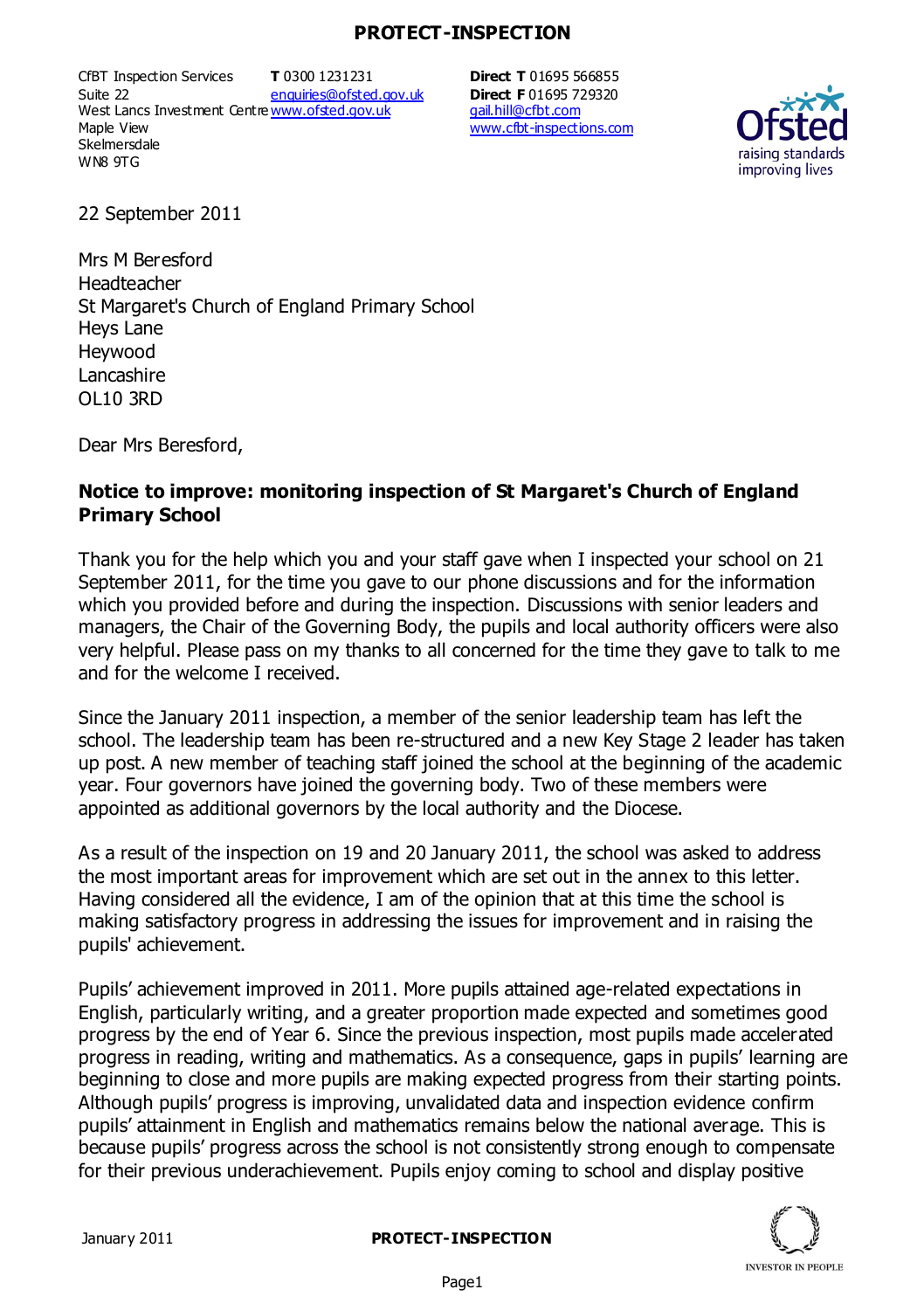## **PROTECT-INSPECTION**

CfBT Inspection Services Suite 22 West Lancs Investment Centre<u>www.ofsted.gov.uk</u> Maple View **Skelmersdale** WN8 9TG **T** 0300 1231231 enquiries@ofsted.gov.uk **Direct T** 01695 566855 **Direct F** 01695 729320 gail.hill@cfbt.com www.cfbt-inspections.com



22 September 2011

Mrs M Beresford Headteacher St Margaret's Church of England Primary School Heys Lane Heywood **Lancashire** OL10 3RD

Dear Mrs Beresford,

## **Notice to improve: monitoring inspection of St Margaret's Church of England Primary School**

Thank you for the help which you and your staff gave when I inspected your school on 21 September 2011, for the time you gave to our phone discussions and for the information which you provided before and during the inspection. Discussions with senior leaders and managers, the Chair of the Governing Body, the pupils and local authority officers were also very helpful. Please pass on my thanks to all concerned for the time they gave to talk to me and for the welcome I received.

Since the January 2011 inspection, a member of the senior leadership team has left the school. The leadership team has been re-structured and a new Key Stage 2 leader has taken up post. A new member of teaching staff joined the school at the beginning of the academic year. Four governors have joined the governing body. Two of these members were appointed as additional governors by the local authority and the Diocese.

As a result of the inspection on 19 and 20 January 2011, the school was asked to address the most important areas for improvement which are set out in the annex to this letter. Having considered all the evidence, I am of the opinion that at this time the school is making satisfactory progress in addressing the issues for improvement and in raising the pupils' achievement.

Pupils' achievement improved in 2011. More pupils attained age-related expectations in English, particularly writing, and a greater proportion made expected and sometimes good progress by the end of Year 6. Since the previous inspection, most pupils made accelerated progress in reading, writing and mathematics. As a consequence, gaps in pupils' learning are beginning to close and more pupils are making expected progress from their starting points. Although pupils' progress is improving, unvalidated data and inspection evidence confirm pupils' attainment in English and mathematics remains below the national average. This is because pupils' progress across the school is not consistently strong enough to compensate for their previous underachievement. Pupils enjoy coming to school and display positive



January 2011 **PROTECT-INSPECTION**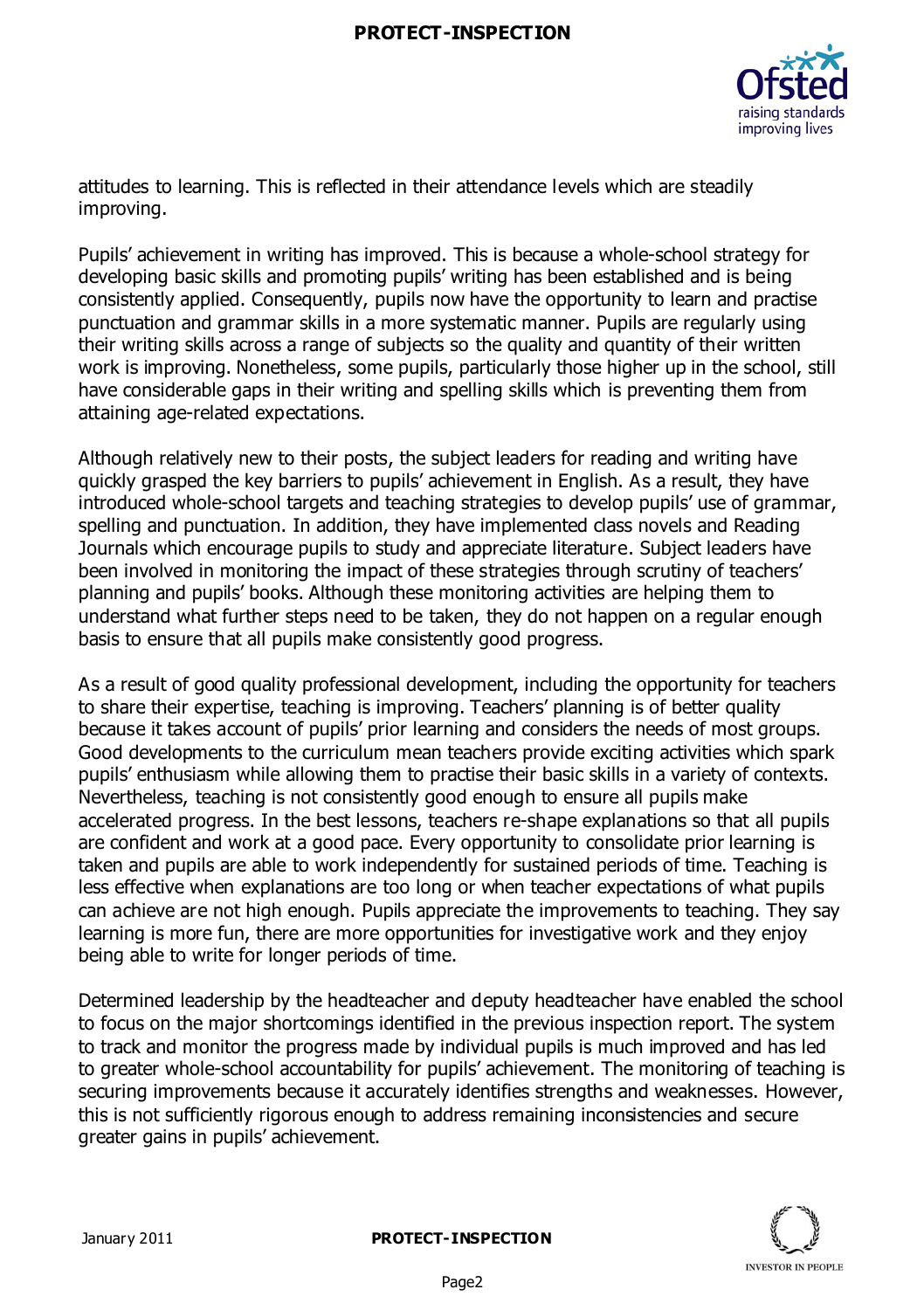## **PROTECT-INSPECTION**



attitudes to learning. This is reflected in their attendance levels which are steadily improving.

Pupils' achievement in writing has improved. This is because a whole-school strategy for developing basic skills and promoting pupils' writing has been established and is being consistently applied. Consequently, pupils now have the opportunity to learn and practise punctuation and grammar skills in a more systematic manner. Pupils are regularly using their writing skills across a range of subjects so the quality and quantity of their written work is improving. Nonetheless, some pupils, particularly those higher up in the school, still have considerable gaps in their writing and spelling skills which is preventing them from attaining age-related expectations.

Although relatively new to their posts, the subject leaders for reading and writing have quickly grasped the key barriers to pupils' achievement in English. As a result, they have introduced whole-school targets and teaching strategies to develop pupils' use of grammar, spelling and punctuation. In addition, they have implemented class novels and Reading Journals which encourage pupils to study and appreciate literature. Subject leaders have been involved in monitoring the impact of these strategies through scrutiny of teachers' planning and pupils' books. Although these monitoring activities are helping them to understand what further steps need to be taken, they do not happen on a regular enough basis to ensure that all pupils make consistently good progress.

As a result of good quality professional development, including the opportunity for teachers to share their expertise, teaching is improving. Teachers' planning is of better quality because it takes account of pupils' prior learning and considers the needs of most groups. Good developments to the curriculum mean teachers provide exciting activities which spark pupils' enthusiasm while allowing them to practise their basic skills in a variety of contexts. Nevertheless, teaching is not consistently good enough to ensure all pupils make accelerated progress. In the best lessons, teachers re-shape explanations so that all pupils are confident and work at a good pace. Every opportunity to consolidate prior learning is taken and pupils are able to work independently for sustained periods of time. Teaching is less effective when explanations are too long or when teacher expectations of what pupils can achieve are not high enough. Pupils appreciate the improvements to teaching. They say learning is more fun, there are more opportunities for investigative work and they enjoy being able to write for longer periods of time.

Determined leadership by the headteacher and deputy headteacher have enabled the school to focus on the major shortcomings identified in the previous inspection report. The system to track and monitor the progress made by individual pupils is much improved and has led to greater whole-school accountability for pupils' achievement. The monitoring of teaching is securing improvements because it accurately identifies strengths and weaknesses. However, this is not sufficiently rigorous enough to address remaining inconsistencies and secure greater gains in pupils' achievement.

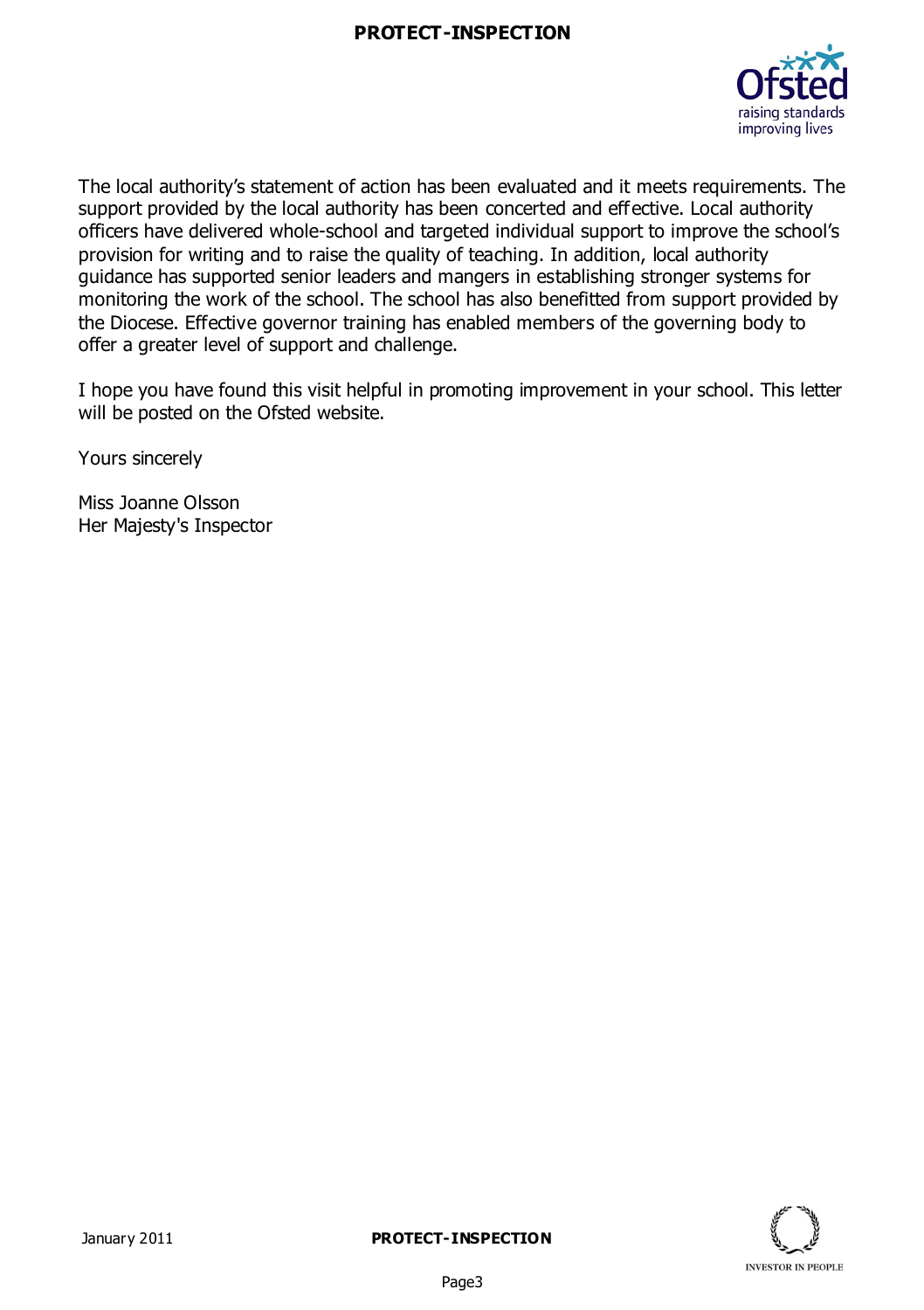

The local authority's statement of action has been evaluated and it meets requirements. The support provided by the local authority has been concerted and effective. Local authority officers have delivered whole-school and targeted individual support to improve the school's provision for writing and to raise the quality of teaching. In addition, local authority guidance has supported senior leaders and mangers in establishing stronger systems for monitoring the work of the school. The school has also benefitted from support provided by the Diocese. Effective governor training has enabled members of the governing body to offer a greater level of support and challenge.

I hope you have found this visit helpful in promoting improvement in your school. This letter will be posted on the Ofsted website.

Yours sincerely

Miss Joanne Olsson Her Majesty's Inspector